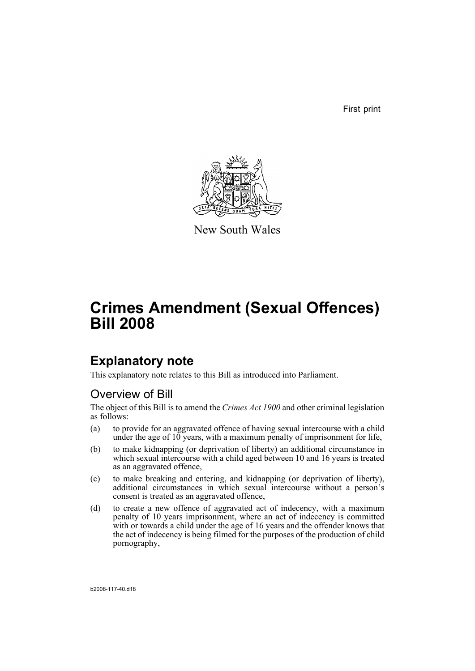First print



New South Wales

# **Crimes Amendment (Sexual Offences) Bill 2008**

# **Explanatory note**

This explanatory note relates to this Bill as introduced into Parliament.

# Overview of Bill

The object of this Bill is to amend the *Crimes Act 1900* and other criminal legislation as follows:

- (a) to provide for an aggravated offence of having sexual intercourse with a child under the age of 10 years, with a maximum penalty of imprisonment for life,
- (b) to make kidnapping (or deprivation of liberty) an additional circumstance in which sexual intercourse with a child aged between 10 and 16 years is treated as an aggravated offence,
- (c) to make breaking and entering, and kidnapping (or deprivation of liberty), additional circumstances in which sexual intercourse without a person's consent is treated as an aggravated offence,
- (d) to create a new offence of aggravated act of indecency, with a maximum penalty of 10 years imprisonment, where an act of indecency is committed with or towards a child under the age of 16 years and the offender knows that the act of indecency is being filmed for the purposes of the production of child pornography,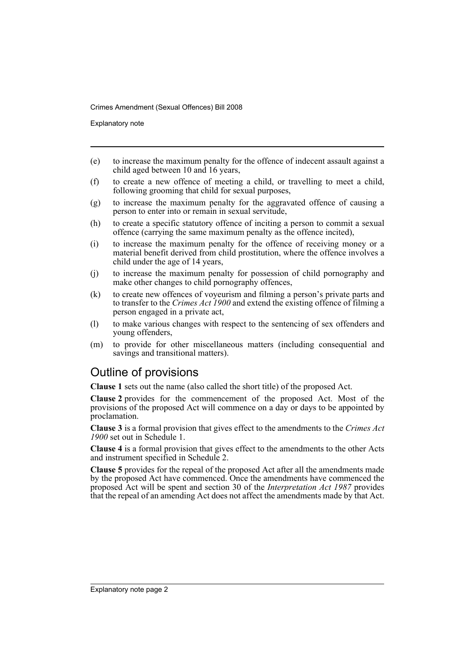Explanatory note

- (e) to increase the maximum penalty for the offence of indecent assault against a child aged between 10 and 16 years,
- (f) to create a new offence of meeting a child, or travelling to meet a child, following grooming that child for sexual purposes,
- (g) to increase the maximum penalty for the aggravated offence of causing a person to enter into or remain in sexual servitude,
- (h) to create a specific statutory offence of inciting a person to commit a sexual offence (carrying the same maximum penalty as the offence incited),
- (i) to increase the maximum penalty for the offence of receiving money or a material benefit derived from child prostitution, where the offence involves a child under the age of 14 years,
- (j) to increase the maximum penalty for possession of child pornography and make other changes to child pornography offences,
- (k) to create new offences of voyeurism and filming a person's private parts and to transfer to the *Crimes Act 1900* and extend the existing offence of filming a person engaged in a private act,
- (l) to make various changes with respect to the sentencing of sex offenders and young offenders,
- (m) to provide for other miscellaneous matters (including consequential and savings and transitional matters).

# Outline of provisions

**Clause 1** sets out the name (also called the short title) of the proposed Act.

**Clause 2** provides for the commencement of the proposed Act. Most of the provisions of the proposed Act will commence on a day or days to be appointed by proclamation.

**Clause 3** is a formal provision that gives effect to the amendments to the *Crimes Act 1900* set out in Schedule 1.

**Clause 4** is a formal provision that gives effect to the amendments to the other Acts and instrument specified in Schedule 2.

**Clause 5** provides for the repeal of the proposed Act after all the amendments made by the proposed Act have commenced. Once the amendments have commenced the proposed Act will be spent and section 30 of the *Interpretation Act 1987* provides that the repeal of an amending Act does not affect the amendments made by that Act.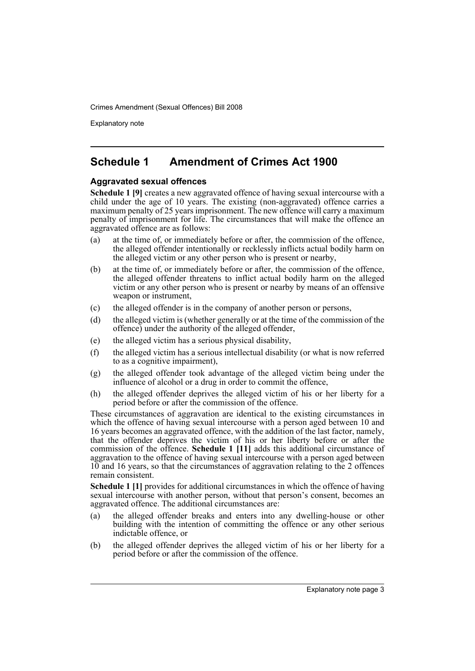Explanatory note

# **Schedule 1 Amendment of Crimes Act 1900**

### **Aggravated sexual offences**

**Schedule 1 [9]** creates a new aggravated offence of having sexual intercourse with a child under the age of 10 years. The existing (non-aggravated) offence carries a maximum penalty of 25 years imprisonment. The new offence will carry a maximum penalty of imprisonment for life. The circumstances that will make the offence an aggravated offence are as follows:

- (a) at the time of, or immediately before or after, the commission of the offence, the alleged offender intentionally or recklessly inflicts actual bodily harm on the alleged victim or any other person who is present or nearby,
- (b) at the time of, or immediately before or after, the commission of the offence, the alleged offender threatens to inflict actual bodily harm on the alleged victim or any other person who is present or nearby by means of an offensive weapon or instrument,
- (c) the alleged offender is in the company of another person or persons,
- (d) the alleged victim is (whether generally or at the time of the commission of the offence) under the authority of the alleged offender,
- (e) the alleged victim has a serious physical disability,
- (f) the alleged victim has a serious intellectual disability (or what is now referred to as a cognitive impairment),
- (g) the alleged offender took advantage of the alleged victim being under the influence of alcohol or a drug in order to commit the offence,
- (h) the alleged offender deprives the alleged victim of his or her liberty for a period before or after the commission of the offence.

These circumstances of aggravation are identical to the existing circumstances in which the offence of having sexual intercourse with a person aged between 10 and 16 years becomes an aggravated offence, with the addition of the last factor, namely, that the offender deprives the victim of his or her liberty before or after the commission of the offence. **Schedule 1 [11]** adds this additional circumstance of aggravation to the offence of having sexual intercourse with a person aged between 10 and 16 years, so that the circumstances of aggravation relating to the 2 offences remain consistent.

**Schedule 1 [1]** provides for additional circumstances in which the offence of having sexual intercourse with another person, without that person's consent, becomes an aggravated offence. The additional circumstances are:

- (a) the alleged offender breaks and enters into any dwelling-house or other building with the intention of committing the offence or any other serious indictable offence, or
- (b) the alleged offender deprives the alleged victim of his or her liberty for a period before or after the commission of the offence.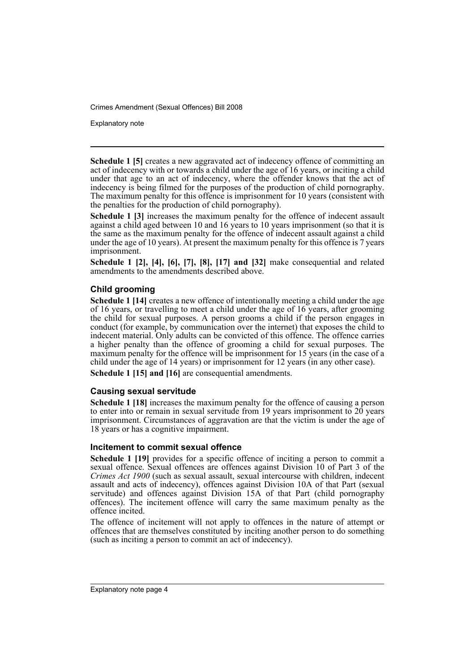Explanatory note

**Schedule 1 [5]** creates a new aggravated act of indecency offence of committing an act of indecency with or towards a child under the age of 16 years, or inciting a child under that age to an act of indecency, where the offender knows that the act of indecency is being filmed for the purposes of the production of child pornography. The maximum penalty for this offence is imprisonment for 10 years (consistent with the penalties for the production of child pornography).

**Schedule 1 [3]** increases the maximum penalty for the offence of indecent assault against a child aged between 10 and 16 years to 10 years imprisonment (so that it is the same as the maximum penalty for the offence of indecent assault against a child under the age of 10 years). At present the maximum penalty for this offence is 7 years imprisonment.

**Schedule 1 [2], [4], [6], [7], [8], [17] and [32]** make consequential and related amendments to the amendments described above.

### **Child grooming**

**Schedule 1 [14]** creates a new offence of intentionally meeting a child under the age of 16 years, or travelling to meet a child under the age of 16 years, after grooming the child for sexual purposes. A person grooms a child if the person engages in conduct (for example, by communication over the internet) that exposes the child to indecent material. Only adults can be convicted of this offence. The offence carries a higher penalty than the offence of grooming a child for sexual purposes. The maximum penalty for the offence will be imprisonment for 15 years (in the case of a child under the age of 14 years) or imprisonment for 12 years (in any other case). **Schedule 1 [15] and [16]** are consequential amendments.

### **Causing sexual servitude**

**Schedule 1 [18]** increases the maximum penalty for the offence of causing a person to enter into or remain in sexual servitude from 19 years imprisonment to 20 years imprisonment. Circumstances of aggravation are that the victim is under the age of 18 years or has a cognitive impairment.

### **Incitement to commit sexual offence**

**Schedule 1 [19]** provides for a specific offence of inciting a person to commit a sexual offence. Sexual offences are offences against Division 10 of Part 3 of the *Crimes Act 1900* (such as sexual assault, sexual intercourse with children, indecent assault and acts of indecency), offences against Division 10A of that Part (sexual servitude) and offences against Division 15A of that Part (child pornography offences). The incitement offence will carry the same maximum penalty as the offence incited.

The offence of incitement will not apply to offences in the nature of attempt or offences that are themselves constituted by inciting another person to do something (such as inciting a person to commit an act of indecency).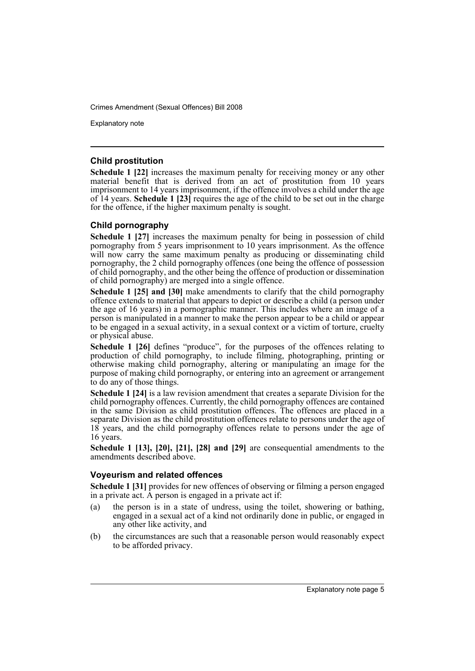Explanatory note

#### **Child prostitution**

**Schedule 1 [22]** increases the maximum penalty for receiving money or any other material benefit that is derived from an act of prostitution from 10 years imprisonment to 14 years imprisonment, if the offence involves a child under the age of 14 years. **Schedule 1 [23]** requires the age of the child to be set out in the charge for the offence, if the higher maximum penalty is sought.

### **Child pornography**

**Schedule 1 [27]** increases the maximum penalty for being in possession of child pornography from 5 years imprisonment to 10 years imprisonment. As the offence will now carry the same maximum penalty as producing or disseminating child pornography, the 2 child pornography offences (one being the offence of possession of child pornography, and the other being the offence of production or dissemination of child pornography) are merged into a single offence.

**Schedule 1 [25] and [30]** make amendments to clarify that the child pornography offence extends to material that appears to depict or describe a child (a person under the age of 16 years) in a pornographic manner. This includes where an image of a person is manipulated in a manner to make the person appear to be a child or appear to be engaged in a sexual activity, in a sexual context or a victim of torture, cruelty or physical abuse.

**Schedule 1 [26]** defines "produce", for the purposes of the offences relating to production of child pornography, to include filming, photographing, printing or otherwise making child pornography, altering or manipulating an image for the purpose of making child pornography, or entering into an agreement or arrangement to do any of those things.

**Schedule 1 [24]** is a law revision amendment that creates a separate Division for the child pornography offences. Currently, the child pornography offences are contained in the same Division as child prostitution offences. The offences are placed in a separate Division as the child prostitution offences relate to persons under the age of 18 years, and the child pornography offences relate to persons under the age of 16 years.

**Schedule 1 [13], [20], [21], [28] and [29]** are consequential amendments to the amendments described above.

### **Voyeurism and related offences**

**Schedule 1 [31]** provides for new offences of observing or filming a person engaged in a private act. A person is engaged in a private act if:

- (a) the person is in a state of undress, using the toilet, showering or bathing, engaged in a sexual act of a kind not ordinarily done in public, or engaged in any other like activity, and
- (b) the circumstances are such that a reasonable person would reasonably expect to be afforded privacy.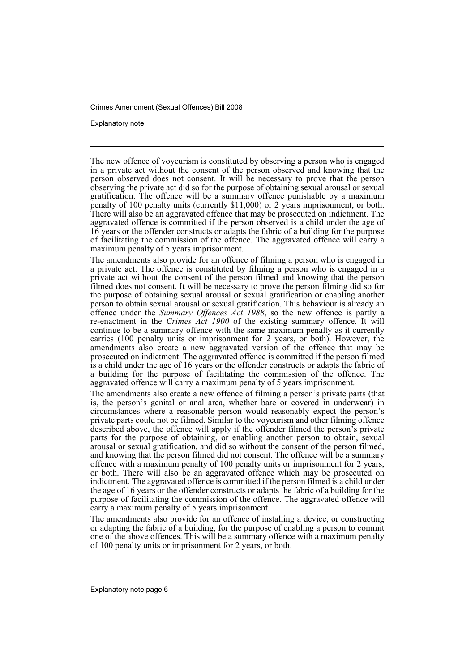Explanatory note

The new offence of voyeurism is constituted by observing a person who is engaged in a private act without the consent of the person observed and knowing that the person observed does not consent. It will be necessary to prove that the person observing the private act did so for the purpose of obtaining sexual arousal or sexual gratification. The offence will be a summary offence punishable by a maximum penalty of 100 penalty units (currently \$11,000) or 2 years imprisonment, or both. There will also be an aggravated offence that may be prosecuted on indictment. The aggravated offence is committed if the person observed is a child under the age of 16 years or the offender constructs or adapts the fabric of a building for the purpose of facilitating the commission of the offence. The aggravated offence will carry a maximum penalty of 5 years imprisonment.

The amendments also provide for an offence of filming a person who is engaged in a private act. The offence is constituted by filming a person who is engaged in a private act without the consent of the person filmed and knowing that the person filmed does not consent. It will be necessary to prove the person filming did so for the purpose of obtaining sexual arousal or sexual gratification or enabling another person to obtain sexual arousal or sexual gratification. This behaviour is already an offence under the *Summary Offences Act 1988*, so the new offence is partly a re-enactment in the *Crimes Act 1900* of the existing summary offence. It will continue to be a summary offence with the same maximum penalty as it currently carries (100 penalty units or imprisonment for 2 years, or both). However, the amendments also create a new aggravated version of the offence that may be prosecuted on indictment. The aggravated offence is committed if the person filmed is a child under the age of 16 years or the offender constructs or adapts the fabric of a building for the purpose of facilitating the commission of the offence. The aggravated offence will carry a maximum penalty of 5 years imprisonment.

The amendments also create a new offence of filming a person's private parts (that is, the person's genital or anal area, whether bare or covered in underwear) in circumstances where a reasonable person would reasonably expect the person's private parts could not be filmed. Similar to the voyeurism and other filming offence described above, the offence will apply if the offender filmed the person's private parts for the purpose of obtaining, or enabling another person to obtain, sexual arousal or sexual gratification, and did so without the consent of the person filmed, and knowing that the person filmed did not consent. The offence will be a summary offence with a maximum penalty of 100 penalty units or imprisonment for 2 years, or both. There will also be an aggravated offence which may be prosecuted on indictment. The aggravated offence is committed if the person filmed is a child under the age of 16 years or the offender constructs or adapts the fabric of a building for the purpose of facilitating the commission of the offence. The aggravated offence will carry a maximum penalty of 5 years imprisonment.

The amendments also provide for an offence of installing a device, or constructing or adapting the fabric of a building, for the purpose of enabling a person to commit one of the above offences. This will be a summary offence with a maximum penalty of 100 penalty units or imprisonment for 2 years, or both.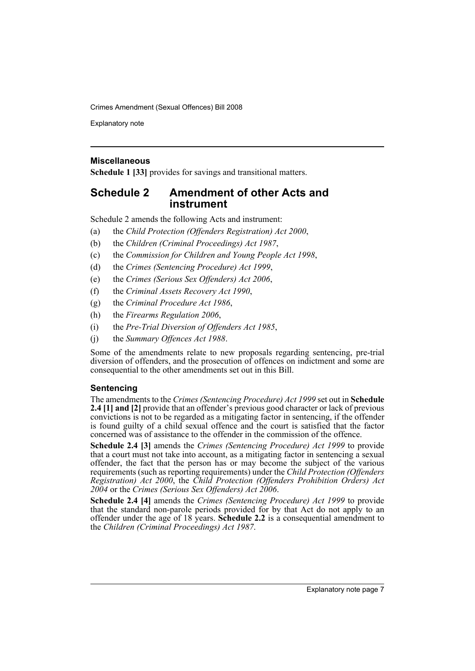Explanatory note

### **Miscellaneous**

**Schedule 1 [33]** provides for savings and transitional matters.

### **Schedule 2 Amendment of other Acts and instrument**

Schedule 2 amends the following Acts and instrument:

- (a) the *Child Protection (Offenders Registration) Act 2000*,
- (b) the *Children (Criminal Proceedings) Act 1987*,
- (c) the *Commission for Children and Young People Act 1998*,
- (d) the *Crimes (Sentencing Procedure) Act 1999*,
- (e) the *Crimes (Serious Sex Offenders) Act 2006*,
- (f) the *Criminal Assets Recovery Act 1990*,
- (g) the *Criminal Procedure Act 1986*,
- (h) the *Firearms Regulation 2006*,
- (i) the *Pre-Trial Diversion of Offenders Act 1985*,
- (j) the *Summary Offences Act 1988*.

Some of the amendments relate to new proposals regarding sentencing, pre-trial diversion of offenders, and the prosecution of offences on indictment and some are consequential to the other amendments set out in this Bill.

### **Sentencing**

The amendments to the *Crimes (Sentencing Procedure) Act 1999* set out in **Schedule 2.4 [1] and [2]** provide that an offender's previous good character or lack of previous convictions is not to be regarded as a mitigating factor in sentencing, if the offender is found guilty of a child sexual offence and the court is satisfied that the factor concerned was of assistance to the offender in the commission of the offence.

**Schedule 2.4 [3]** amends the *Crimes (Sentencing Procedure) Act 1999* to provide that a court must not take into account, as a mitigating factor in sentencing a sexual offender, the fact that the person has or may become the subject of the various requirements (such as reporting requirements) under the *Child Protection (Offenders Registration) Act 2000*, the *Child Protection (Offenders Prohibition Orders) Act 2004* or the *Crimes (Serious Sex Offenders) Act 2006*.

**Schedule 2.4 [4]** amends the *Crimes (Sentencing Procedure) Act 1999* to provide that the standard non-parole periods provided for by that Act do not apply to an offender under the age of 18 years. **Schedule 2.2** is a consequential amendment to the *Children (Criminal Proceedings) Act 1987*.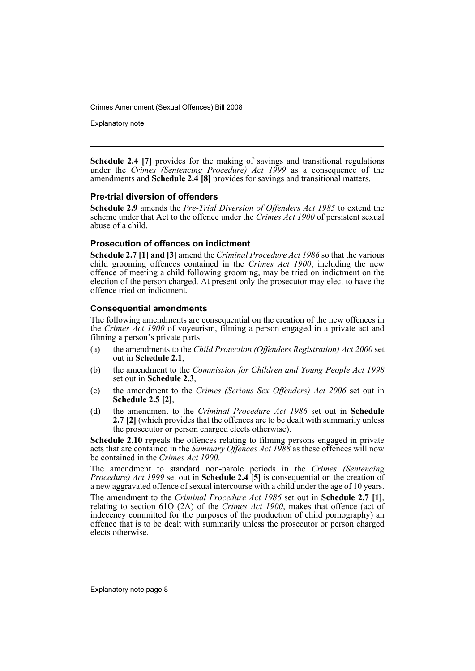Explanatory note

**Schedule 2.4 [7]** provides for the making of savings and transitional regulations under the *Crimes (Sentencing Procedure) Act 1999* as a consequence of the amendments and **Schedule 2.4 [8]** provides for savings and transitional matters.

### **Pre-trial diversion of offenders**

**Schedule 2.9** amends the *Pre-Trial Diversion of Offenders Act 1985* to extend the scheme under that Act to the offence under the *Crimes Act 1900* of persistent sexual abuse of a child.

### **Prosecution of offences on indictment**

**Schedule 2.7 [1] and [3]** amend the *Criminal Procedure Act 1986* so that the various child grooming offences contained in the *Crimes Act 1900*, including the new offence of meeting a child following grooming, may be tried on indictment on the election of the person charged. At present only the prosecutor may elect to have the offence tried on indictment.

### **Consequential amendments**

The following amendments are consequential on the creation of the new offences in the *Crimes Act 1900* of voyeurism, filming a person engaged in a private act and filming a person's private parts:

- (a) the amendments to the *Child Protection (Offenders Registration) Act 2000* set out in **Schedule 2.1**,
- (b) the amendment to the *Commission for Children and Young People Act 1998* set out in **Schedule 2.3**,
- (c) the amendment to the *Crimes (Serious Sex Offenders) Act 2006* set out in **Schedule 2.5 [2]**,
- (d) the amendment to the *Criminal Procedure Act 1986* set out in **Schedule 2.7 [2]** (which provides that the offences are to be dealt with summarily unless the prosecutor or person charged elects otherwise).

**Schedule 2.10** repeals the offences relating to filming persons engaged in private acts that are contained in the *Summary Offences Act 1988* as these offences will now be contained in the *Crimes Act 1900*.

The amendment to standard non-parole periods in the *Crimes (Sentencing Procedure) Act 1999* set out in **Schedule 2.4 [5]** is consequential on the creation of a new aggravated offence of sexual intercourse with a child under the age of 10 years.

The amendment to the *Criminal Procedure Act 1986* set out in **Schedule 2.7 [1]**, relating to section 61O (2A) of the *Crimes Act 1900*, makes that offence (act of indecency committed for the purposes of the production of child pornography) an offence that is to be dealt with summarily unless the prosecutor or person charged elects otherwise.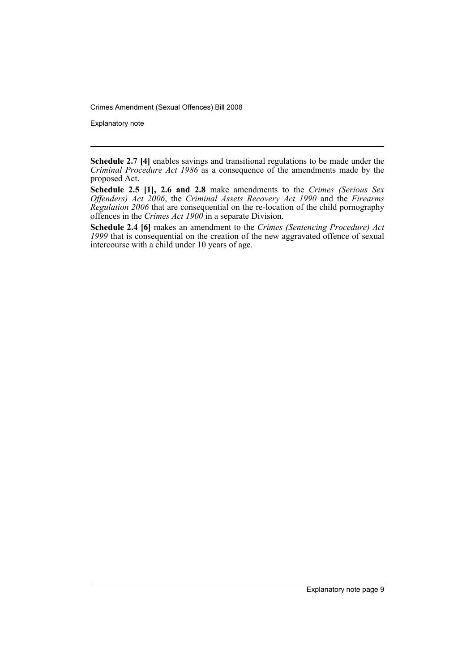Explanatory note

**Schedule 2.7 [4]** enables savings and transitional regulations to be made under the *Criminal Procedure Act 1986* as a consequence of the amendments made by the proposed Act.

**Schedule 2.5 [1], 2.6 and 2.8** make amendments to the *Crimes (Serious Sex Offenders) Act 2006*, the *Criminal Assets Recovery Act 1990* and the *Firearms Regulation 2006* that are consequential on the re-location of the child pornography offences in the *Crimes Act 1900* in a separate Division.

**Schedule 2.4 [6]** makes an amendment to the *Crimes (Sentencing Procedure) Act 1999* that is consequential on the creation of the new aggravated offence of sexual intercourse with a child under 10 years of age.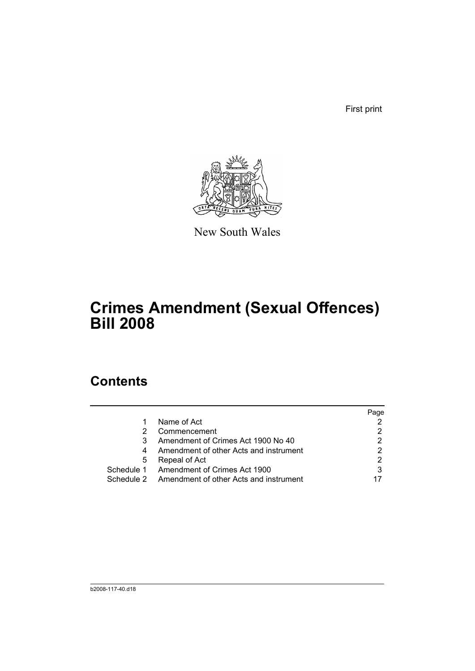First print



New South Wales

# **Crimes Amendment (Sexual Offences) Bill 2008**

# **Contents**

|            |                                        | Page |
|------------|----------------------------------------|------|
|            | Name of Act                            |      |
|            | Commencement                           |      |
|            | Amendment of Crimes Act 1900 No 40     |      |
| 4          | Amendment of other Acts and instrument |      |
| 5          | Repeal of Act                          |      |
| Schedule 1 | Amendment of Crimes Act 1900           | 3    |
| Schedule 2 | Amendment of other Acts and instrument |      |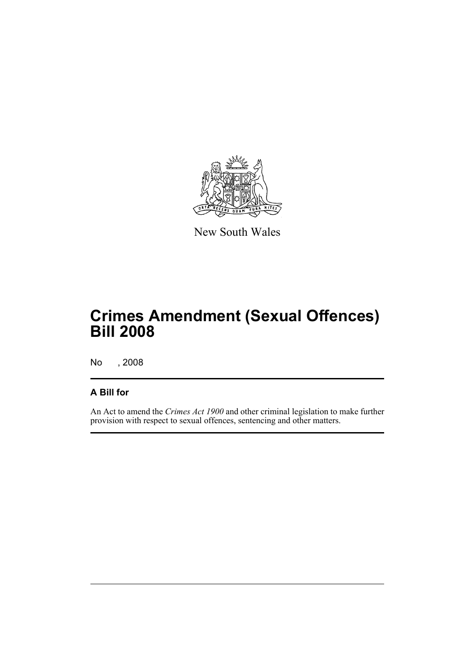

New South Wales

# **Crimes Amendment (Sexual Offences) Bill 2008**

No , 2008

## **A Bill for**

An Act to amend the *Crimes Act 1900* and other criminal legislation to make further provision with respect to sexual offences, sentencing and other matters.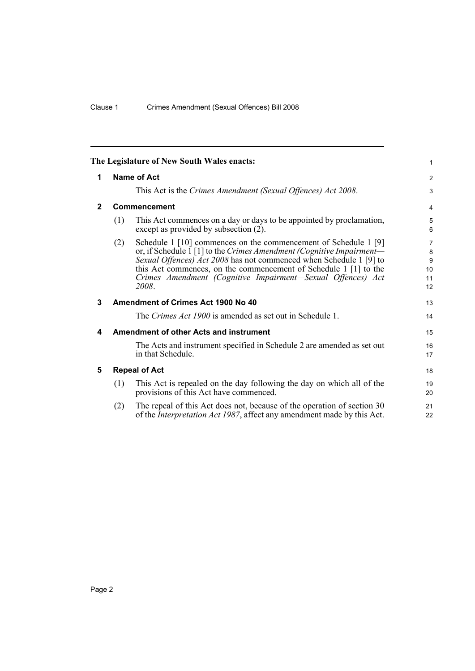<span id="page-13-4"></span><span id="page-13-3"></span><span id="page-13-2"></span><span id="page-13-1"></span><span id="page-13-0"></span>

|                |             | The Legislature of New South Wales enacts:                                                                                                                                                                                                                                                                                                                | 1                             |  |  |  |
|----------------|-------------|-----------------------------------------------------------------------------------------------------------------------------------------------------------------------------------------------------------------------------------------------------------------------------------------------------------------------------------------------------------|-------------------------------|--|--|--|
| 1              | Name of Act |                                                                                                                                                                                                                                                                                                                                                           |                               |  |  |  |
|                |             | This Act is the Crimes Amendment (Sexual Offences) Act 2008.                                                                                                                                                                                                                                                                                              | 3                             |  |  |  |
| $\overline{2}$ |             | <b>Commencement</b>                                                                                                                                                                                                                                                                                                                                       | 4                             |  |  |  |
|                | (1)         | This Act commences on a day or days to be appointed by proclamation,<br>except as provided by subsection (2).                                                                                                                                                                                                                                             | 5<br>6                        |  |  |  |
|                | (2)         | Schedule 1 [10] commences on the commencement of Schedule 1 [9]<br>or, if Schedule 1 [1] to the Crimes Amendment (Cognitive Impairment-<br>Sexual Offences) Act 2008 has not commenced when Schedule 1 [9] to<br>this Act commences, on the commencement of Schedule 1 [1] to the<br>Crimes Amendment (Cognitive Impairment—Sexual Offences) Act<br>2008. | 7<br>8<br>9<br>10<br>11<br>12 |  |  |  |
| 3              |             | Amendment of Crimes Act 1900 No 40                                                                                                                                                                                                                                                                                                                        | 13                            |  |  |  |
|                |             | The <i>Crimes Act 1900</i> is amended as set out in Schedule 1.                                                                                                                                                                                                                                                                                           | 14                            |  |  |  |
| 4              |             | <b>Amendment of other Acts and instrument</b>                                                                                                                                                                                                                                                                                                             | 15                            |  |  |  |
|                |             | The Acts and instrument specified in Schedule 2 are amended as set out<br>in that Schedule.                                                                                                                                                                                                                                                               | 16<br>17                      |  |  |  |
| 5              |             | <b>Repeal of Act</b>                                                                                                                                                                                                                                                                                                                                      | 18                            |  |  |  |
|                | (1)         | This Act is repealed on the day following the day on which all of the<br>provisions of this Act have commenced.                                                                                                                                                                                                                                           | 19<br>20                      |  |  |  |
|                | (2)         | The repeal of this Act does not, because of the operation of section 30<br>of the <i>Interpretation Act 1987</i> , affect any amendment made by this Act.                                                                                                                                                                                                 | 21<br>22                      |  |  |  |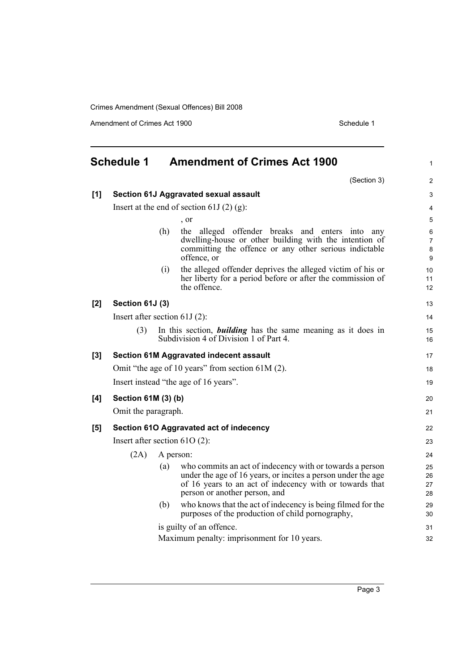Amendment of Crimes Act 1900 Schedule 1

<span id="page-14-0"></span>

|     | <b>Schedule 1</b>               |     | <b>Amendment of Crimes Act 1900</b>                                                                                                                                                                                  | 1                             |
|-----|---------------------------------|-----|----------------------------------------------------------------------------------------------------------------------------------------------------------------------------------------------------------------------|-------------------------------|
|     |                                 |     | (Section 3)                                                                                                                                                                                                          | $\overline{2}$                |
| [1] |                                 |     | Section 61J Aggravated sexual assault                                                                                                                                                                                | 3                             |
|     |                                 |     | Insert at the end of section 61J $(2)$ $(g)$ :                                                                                                                                                                       | 4                             |
|     |                                 |     | , or                                                                                                                                                                                                                 | 5                             |
|     |                                 | (h) | alleged offender breaks and enters into any<br>the<br>dwelling-house or other building with the intention of<br>committing the offence or any other serious indictable<br>offence, or                                | 6<br>$\overline{7}$<br>8<br>9 |
|     |                                 | (i) | the alleged offender deprives the alleged victim of his or<br>her liberty for a period before or after the commission of<br>the offence.                                                                             | 10<br>11<br>12                |
| [2] | Section 61J (3)                 |     |                                                                                                                                                                                                                      | 13                            |
|     | Insert after section $61J(2)$ : |     |                                                                                                                                                                                                                      | 14                            |
|     | (3)                             |     | In this section, <i>building</i> has the same meaning as it does in<br>Subdivision 4 of Division 1 of Part 4.                                                                                                        | 15<br>16                      |
| [3] |                                 |     | <b>Section 61M Aggravated indecent assault</b>                                                                                                                                                                       | 17                            |
|     |                                 |     | Omit "the age of 10 years" from section $61M(2)$ .                                                                                                                                                                   | 18                            |
|     |                                 |     | Insert instead "the age of 16 years".                                                                                                                                                                                | 19                            |
| [4] | Section 61M (3) (b)             |     |                                                                                                                                                                                                                      | 20                            |
|     | Omit the paragraph.             |     |                                                                                                                                                                                                                      | 21                            |
| [5] |                                 |     | Section 61O Aggravated act of indecency                                                                                                                                                                              | 22                            |
|     | Insert after section $61O(2)$ : |     |                                                                                                                                                                                                                      | 23                            |
|     | (2A)                            |     | A person:                                                                                                                                                                                                            | 24                            |
|     |                                 | (a) | who commits an act of indecency with or towards a person<br>under the age of 16 years, or incites a person under the age<br>of 16 years to an act of indecency with or towards that<br>person or another person, and | 25<br>26<br>27<br>28          |
|     |                                 | (b) | who knows that the act of indecency is being filmed for the<br>purposes of the production of child pornography,                                                                                                      | 29<br>30                      |
|     |                                 |     | is guilty of an offence.                                                                                                                                                                                             | 31                            |
|     |                                 |     | Maximum penalty: imprisonment for 10 years.                                                                                                                                                                          | 32                            |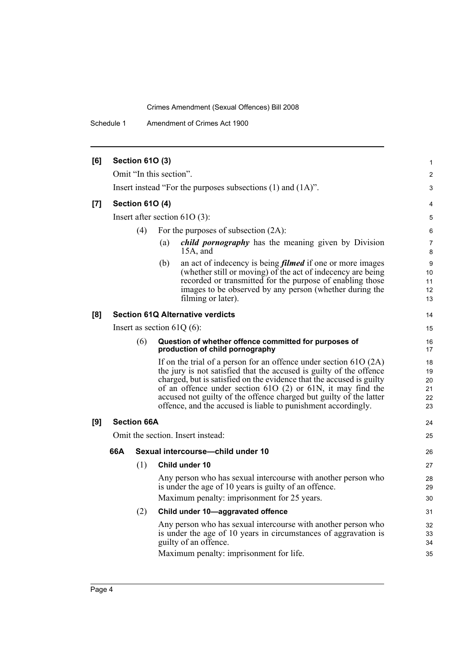Schedule 1 Amendment of Crimes Act 1900

| [6] |     | <b>Section 610 (3)</b> |                                                                                                                                                                                                                                                                                                                                                                                                                             | $\mathbf{1}$                     |
|-----|-----|------------------------|-----------------------------------------------------------------------------------------------------------------------------------------------------------------------------------------------------------------------------------------------------------------------------------------------------------------------------------------------------------------------------------------------------------------------------|----------------------------------|
|     |     |                        | Omit "In this section".                                                                                                                                                                                                                                                                                                                                                                                                     | 2                                |
|     |     |                        | Insert instead "For the purposes subsections (1) and (1A)".                                                                                                                                                                                                                                                                                                                                                                 | 3                                |
| [7] |     | <b>Section 610 (4)</b> |                                                                                                                                                                                                                                                                                                                                                                                                                             | 4                                |
|     |     |                        | Insert after section $61O(3)$ :                                                                                                                                                                                                                                                                                                                                                                                             | 5                                |
|     |     | (4)                    | For the purposes of subsection $(2A)$ :                                                                                                                                                                                                                                                                                                                                                                                     | 6                                |
|     |     |                        | <i>child pornography</i> has the meaning given by Division<br>(a)<br>$15A$ , and                                                                                                                                                                                                                                                                                                                                            | 7<br>8                           |
|     |     |                        | an act of indecency is being <i>filmed</i> if one or more images<br>(b)<br>(whether still or moving) of the act of indecency are being<br>recorded or transmitted for the purpose of enabling those<br>images to be observed by any person (whether during the<br>filming or later).                                                                                                                                        | 9<br>10<br>11<br>12<br>13        |
| [8] |     |                        | <b>Section 61Q Alternative verdicts</b>                                                                                                                                                                                                                                                                                                                                                                                     | 14                               |
|     |     |                        | Insert as section $61Q(6)$ :                                                                                                                                                                                                                                                                                                                                                                                                | 15                               |
|     |     | (6)                    | Question of whether offence committed for purposes of<br>production of child pornography                                                                                                                                                                                                                                                                                                                                    | 16<br>17                         |
|     |     |                        | If on the trial of a person for an offence under section $61O(2A)$<br>the jury is not satisfied that the accused is guilty of the offence<br>charged, but is satisfied on the evidence that the accused is guilty<br>of an offence under section $610(2)$ or $61N$ , it may find the<br>accused not guilty of the offence charged but guilty of the latter<br>offence, and the accused is liable to punishment accordingly. | 18<br>19<br>20<br>21<br>22<br>23 |
| [9] |     | <b>Section 66A</b>     |                                                                                                                                                                                                                                                                                                                                                                                                                             | 24                               |
|     |     |                        | Omit the section. Insert instead:                                                                                                                                                                                                                                                                                                                                                                                           | 25                               |
|     | 66A |                        | Sexual intercourse-child under 10                                                                                                                                                                                                                                                                                                                                                                                           | 26                               |
|     |     | (1)                    | Child under 10                                                                                                                                                                                                                                                                                                                                                                                                              | 27                               |
|     |     |                        | Any person who has sexual intercourse with another person who<br>is under the age of 10 years is guilty of an offence.                                                                                                                                                                                                                                                                                                      | 28<br>29                         |
|     |     |                        | Maximum penalty: imprisonment for 25 years.                                                                                                                                                                                                                                                                                                                                                                                 | 30                               |
|     |     | (2)                    | Child under 10-aggravated offence                                                                                                                                                                                                                                                                                                                                                                                           | 31                               |
|     |     |                        | Any person who has sexual intercourse with another person who<br>is under the age of 10 years in circumstances of aggravation is<br>guilty of an offence.<br>Maximum penalty: imprisonment for life.                                                                                                                                                                                                                        | 32<br>33<br>34<br>35             |
|     |     |                        |                                                                                                                                                                                                                                                                                                                                                                                                                             |                                  |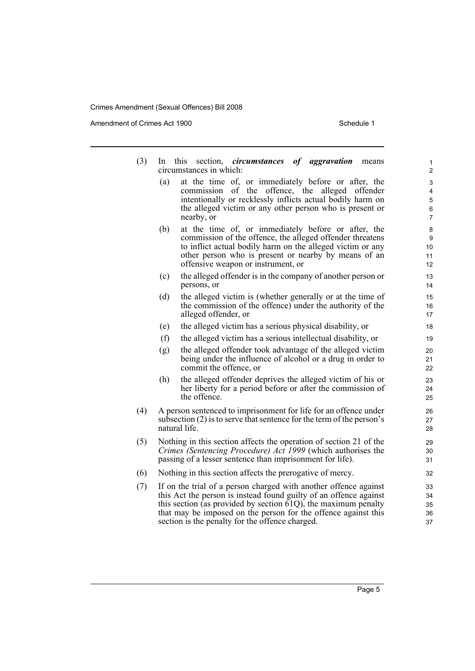Amendment of Crimes Act 1900 Schedule 1

| (3) |     | In this section, <i>circumstances</i> of aggravation<br>means<br>circumstances in which:                                           | 1<br>2         |
|-----|-----|------------------------------------------------------------------------------------------------------------------------------------|----------------|
|     |     |                                                                                                                                    |                |
|     | (a) | at the time of, or immediately before or after, the<br>commission of<br>the offence, the alleged offender                          | 3<br>4         |
|     |     | intentionally or recklessly inflicts actual bodily harm on                                                                         | 5              |
|     |     | the alleged victim or any other person who is present or                                                                           | 6              |
|     |     | nearby, or                                                                                                                         | $\overline{7}$ |
|     | (b) | at the time of, or immediately before or after, the                                                                                | 8              |
|     |     | commission of the offence, the alleged offender threatens                                                                          | 9              |
|     |     | to inflict actual bodily harm on the alleged victim or any<br>other person who is present or nearby by means of an                 | 10<br>11       |
|     |     | offensive weapon or instrument, or                                                                                                 | 12             |
|     | (c) | the alleged offender is in the company of another person or                                                                        | 13             |
|     |     | persons, or                                                                                                                        | 14             |
|     | (d) | the alleged victim is (whether generally or at the time of                                                                         | 15             |
|     |     | the commission of the offence) under the authority of the                                                                          | 16             |
|     |     | alleged offender, or                                                                                                               | 17             |
|     | (e) | the alleged victim has a serious physical disability, or                                                                           | 18             |
|     | (f) | the alleged victim has a serious intellectual disability, or                                                                       | 19             |
|     | (g) | the alleged offender took advantage of the alleged victim                                                                          | 20             |
|     |     | being under the influence of alcohol or a drug in order to                                                                         | 21             |
|     |     | commit the offence, or                                                                                                             | 22             |
|     | (h) | the alleged offender deprives the alleged victim of his or                                                                         | 23             |
|     |     | her liberty for a period before or after the commission of<br>the offence.                                                         | 24<br>25       |
|     |     |                                                                                                                                    |                |
| (4) |     | A person sentenced to imprisonment for life for an offence under                                                                   | 26             |
|     |     | subsection (2) is to serve that sentence for the term of the person's<br>natural life.                                             | 27<br>28       |
|     |     |                                                                                                                                    |                |
| (5) |     | Nothing in this section affects the operation of section 21 of the<br>Crimes (Sentencing Procedure) Act 1999 (which authorises the | 29<br>30       |
|     |     | passing of a lesser sentence than imprisonment for life).                                                                          | 31             |
| (6) |     | Nothing in this section affects the prerogative of mercy.                                                                          | 32             |
| (7) |     | If on the trial of a person charged with another offence against                                                                   | 33             |
|     |     | this Act the person is instead found guilty of an offence against                                                                  | 34             |
|     |     | this section (as provided by section $61Q$ ), the maximum penalty                                                                  | 35             |
|     |     | that may be imposed on the person for the offence against this                                                                     | 36             |
|     |     | section is the penalty for the offence charged.                                                                                    | 37             |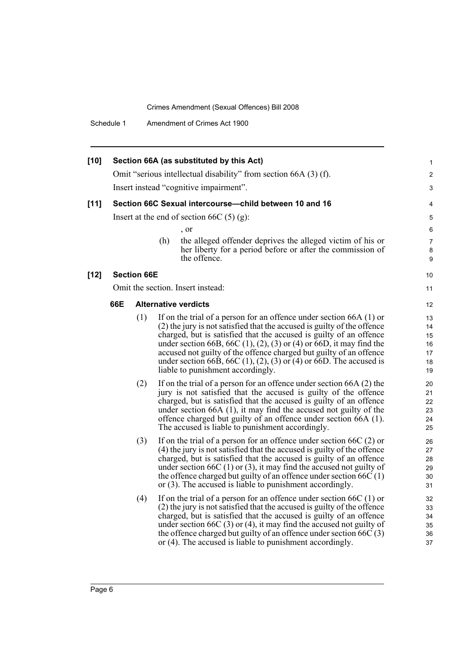Schedule 1 Amendment of Crimes Act 1900

| $[10]$ |     |                    |     | Section 66A (as substituted by this Act)                                                                                                            | 1                        |
|--------|-----|--------------------|-----|-----------------------------------------------------------------------------------------------------------------------------------------------------|--------------------------|
|        |     |                    |     | Omit "serious intellectual disability" from section 66A (3) (f).                                                                                    | $\overline{c}$           |
|        |     |                    |     | Insert instead "cognitive impairment".                                                                                                              | 3                        |
| $[11]$ |     |                    |     | Section 66C Sexual intercourse-child between 10 and 16                                                                                              | 4                        |
|        |     |                    |     | Insert at the end of section 66C $(5)$ (g):                                                                                                         | 5                        |
|        |     |                    |     | $\cdot$ or                                                                                                                                          | 6                        |
|        |     |                    | (h) | the alleged offender deprives the alleged victim of his or<br>her liberty for a period before or after the commission of<br>the offence.            | $\overline{7}$<br>8<br>9 |
| $[12]$ |     | <b>Section 66E</b> |     |                                                                                                                                                     | 10                       |
|        |     |                    |     | Omit the section. Insert instead:                                                                                                                   | 11                       |
|        | 66E |                    |     | <b>Alternative verdicts</b>                                                                                                                         | 12                       |
|        |     | (1)                |     | If on the trial of a person for an offence under section $66A(1)$ or                                                                                | 13                       |
|        |     |                    |     | (2) the jury is not satisfied that the accused is guilty of the offence                                                                             | 14                       |
|        |     |                    |     | charged, but is satisfied that the accused is guilty of an offence                                                                                  | 15                       |
|        |     |                    |     | under section 66B, 66C $(1)$ , $(2)$ , $(3)$ or $(4)$ or 66D, it may find the<br>accused not guilty of the offence charged but guilty of an offence | 16                       |
|        |     |                    |     | under section 66B, 66C $(1)$ , $(2)$ , $(3)$ or $(4)$ or 66D. The accused is                                                                        | 17<br>18                 |
|        |     |                    |     | liable to punishment accordingly.                                                                                                                   | 19                       |
|        |     | (2)                |     | If on the trial of a person for an offence under section 66A (2) the                                                                                | 20                       |
|        |     |                    |     | jury is not satisfied that the accused is guilty of the offence                                                                                     | 21                       |
|        |     |                    |     | charged, but is satisfied that the accused is guilty of an offence                                                                                  | 22                       |
|        |     |                    |     | under section $66A(1)$ , it may find the accused not guilty of the                                                                                  | 23                       |
|        |     |                    |     | offence charged but guilty of an offence under section 66A (1).                                                                                     | 24                       |
|        |     |                    |     | The accused is liable to punishment accordingly.                                                                                                    | 25                       |
|        |     | (3)                |     | If on the trial of a person for an offence under section $66C(2)$ or                                                                                | 26                       |
|        |     |                    |     | (4) the jury is not satisfied that the accused is guilty of the offence                                                                             | 27                       |
|        |     |                    |     | charged, but is satisfied that the accused is guilty of an offence                                                                                  | 28                       |
|        |     |                    |     | under section 66C $(1)$ or $(3)$ , it may find the accused not guilty of<br>the offence charged but guilty of an offence under section $66C(1)$     | 29<br>30                 |
|        |     |                    |     | or (3). The accused is liable to punishment accordingly.                                                                                            | 31                       |
|        |     |                    |     |                                                                                                                                                     |                          |
|        |     | (4)                |     | If on the trial of a person for an offence under section $66C(1)$ or                                                                                | 32                       |
|        |     |                    |     | (2) the jury is not satisfied that the accused is guilty of the offence<br>charged, but is satisfied that the accused is guilty of an offence       | 33                       |
|        |     |                    |     | under section 66C $(3)$ or $(4)$ , it may find the accused not guilty of                                                                            | 34<br>35                 |
|        |     |                    |     | the offence charged but guilty of an offence under section $66C(3)$                                                                                 | 36                       |
|        |     |                    |     | or (4). The accused is liable to punishment accordingly.                                                                                            | 37                       |
|        |     |                    |     |                                                                                                                                                     |                          |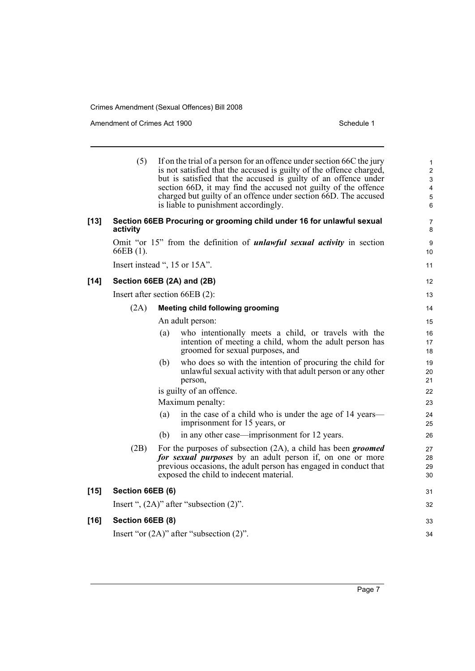Amendment of Crimes Act 1900 Schedule 1

|        | (5)              | If on the trial of a person for an offence under section 66C the jury<br>is not satisfied that the accused is guilty of the offence charged,<br>but is satisfied that the accused is guilty of an offence under<br>section 66D, it may find the accused not guilty of the offence<br>charged but guilty of an offence under section 66D. The accused<br>is liable to punishment accordingly. | $\mathbf{1}$<br>$\overline{2}$<br>3<br>$\overline{\mathbf{4}}$<br>$\mathbf 5$<br>6 |
|--------|------------------|----------------------------------------------------------------------------------------------------------------------------------------------------------------------------------------------------------------------------------------------------------------------------------------------------------------------------------------------------------------------------------------------|------------------------------------------------------------------------------------|
| $[13]$ | activity         | Section 66EB Procuring or grooming child under 16 for unlawful sexual                                                                                                                                                                                                                                                                                                                        | $\overline{7}$<br>8                                                                |
|        | 66EB (1).        | Omit "or 15" from the definition of <i>unlawful sexual activity</i> in section                                                                                                                                                                                                                                                                                                               | 9<br>10                                                                            |
|        |                  | Insert instead ", 15 or 15A".                                                                                                                                                                                                                                                                                                                                                                | 11                                                                                 |
| $[14]$ |                  | Section 66EB (2A) and (2B)                                                                                                                                                                                                                                                                                                                                                                   | 12                                                                                 |
|        |                  | Insert after section 66EB (2):                                                                                                                                                                                                                                                                                                                                                               | 13                                                                                 |
|        | (2A)             | <b>Meeting child following grooming</b>                                                                                                                                                                                                                                                                                                                                                      | 14                                                                                 |
|        |                  | An adult person:                                                                                                                                                                                                                                                                                                                                                                             | 15                                                                                 |
|        |                  | who intentionally meets a child, or travels with the<br>(a)<br>intention of meeting a child, whom the adult person has<br>groomed for sexual purposes, and                                                                                                                                                                                                                                   | 16<br>17<br>18                                                                     |
|        |                  | who does so with the intention of procuring the child for<br>(b)<br>unlawful sexual activity with that adult person or any other<br>person,                                                                                                                                                                                                                                                  | 19<br>20<br>21                                                                     |
|        |                  | is guilty of an offence.                                                                                                                                                                                                                                                                                                                                                                     | 22                                                                                 |
|        |                  | Maximum penalty:                                                                                                                                                                                                                                                                                                                                                                             | 23                                                                                 |
|        |                  | in the case of a child who is under the age of 14 years—<br>(a)<br>imprisonment for 15 years, or                                                                                                                                                                                                                                                                                             | 24<br>25                                                                           |
|        |                  | (b)<br>in any other case—imprisonment for 12 years.                                                                                                                                                                                                                                                                                                                                          | 26                                                                                 |
|        | (2B)             | For the purposes of subsection $(2A)$ , a child has been groomed<br>for sexual purposes by an adult person if, on one or more<br>previous occasions, the adult person has engaged in conduct that<br>exposed the child to indecent material.                                                                                                                                                 | 27<br>28<br>29<br>30                                                               |
| $[15]$ | Section 66EB (6) |                                                                                                                                                                                                                                                                                                                                                                                              | 31                                                                                 |
|        |                  | Insert ", $(2A)$ " after "subsection $(2)$ ".                                                                                                                                                                                                                                                                                                                                                | 32                                                                                 |
| $[16]$ | Section 66EB (8) |                                                                                                                                                                                                                                                                                                                                                                                              | 33                                                                                 |
|        |                  | Insert "or $(2A)$ " after "subsection $(2)$ ".                                                                                                                                                                                                                                                                                                                                               | 34                                                                                 |
|        |                  |                                                                                                                                                                                                                                                                                                                                                                                              |                                                                                    |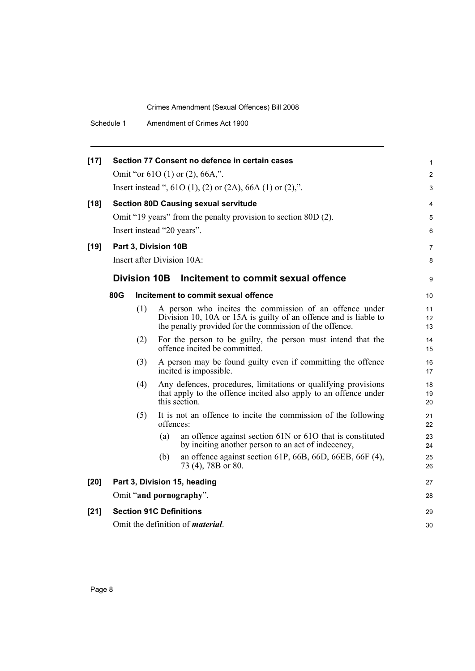| $[17]$ |     |                     | Section 77 Consent no defence in certain cases                                                                                                                                         | 1              |
|--------|-----|---------------------|----------------------------------------------------------------------------------------------------------------------------------------------------------------------------------------|----------------|
|        |     |                     | Omit "or $610(1)$ or $(2)$ , $66A$ ,".                                                                                                                                                 | $\overline{c}$ |
|        |     |                     | Insert instead ", $61O(1)$ , $(2)$ or $(2A)$ , $66A(1)$ or $(2)$ ,".                                                                                                                   | 3              |
| $[18]$ |     |                     | <b>Section 80D Causing sexual servitude</b>                                                                                                                                            | 4              |
|        |     |                     | Omit "19 years" from the penalty provision to section 80D (2).                                                                                                                         | 5              |
|        |     |                     | Insert instead "20 years".                                                                                                                                                             | 6              |
| $[19]$ |     |                     | Part 3, Division 10B                                                                                                                                                                   | 7              |
|        |     |                     | Insert after Division 10A:                                                                                                                                                             | 8              |
|        |     | <b>Division 10B</b> | Incitement to commit sexual offence                                                                                                                                                    | 9              |
|        | 80G |                     | Incitement to commit sexual offence                                                                                                                                                    | 10             |
|        |     | (1)                 | A person who incites the commission of an offence under<br>Division 10, 10A or 15A is guilty of an offence and is liable to<br>the penalty provided for the commission of the offence. | 11<br>12<br>13 |
|        |     | (2)                 | For the person to be guilty, the person must intend that the<br>offence incited be committed.                                                                                          | 14<br>15       |
|        |     | (3)                 | A person may be found guilty even if committing the offence<br>incited is impossible.                                                                                                  | 16<br>17       |
|        |     | (4)                 | Any defences, procedures, limitations or qualifying provisions<br>that apply to the offence incited also apply to an offence under<br>this section.                                    | 18<br>19<br>20 |
|        |     | (5)                 | It is not an offence to incite the commission of the following<br>offences:                                                                                                            | 21<br>22       |
|        |     |                     | (a)<br>an offence against section 61N or 61O that is constituted<br>by inciting another person to an act of indecency,                                                                 | 23<br>24       |
|        |     |                     | an offence against section 61P, 66B, 66D, 66EB, 66F (4),<br>(b)<br>73 (4), 78B or 80.                                                                                                  | 25<br>26       |
| [20]   |     |                     | Part 3, Division 15, heading                                                                                                                                                           | 27             |
|        |     |                     | Omit "and pornography".                                                                                                                                                                | 28             |
| $[21]$ |     |                     | <b>Section 91C Definitions</b>                                                                                                                                                         | 29             |
|        |     |                     | Omit the definition of <i>material</i> .                                                                                                                                               | 30             |
|        |     |                     |                                                                                                                                                                                        |                |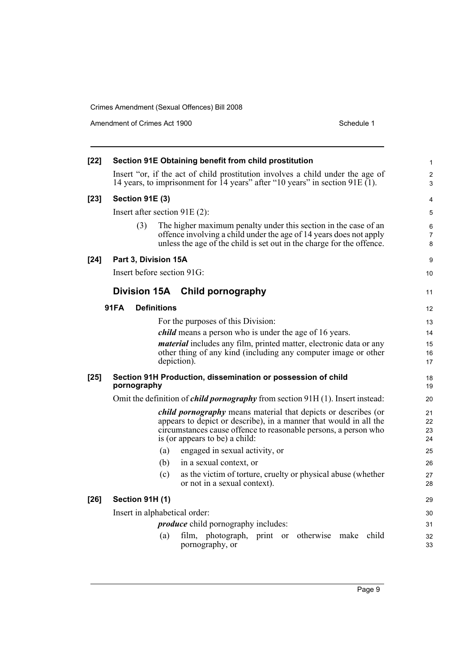Amendment of Crimes Act 1900 Schedule 1

| $[22]$ |                        | Section 91E Obtaining benefit from child prostitution                                                                                                                                                                                           | 1                    |
|--------|------------------------|-------------------------------------------------------------------------------------------------------------------------------------------------------------------------------------------------------------------------------------------------|----------------------|
|        |                        | Insert "or, if the act of child prostitution involves a child under the age of<br>14 years, to imprisonment for 14 years" after "10 years" in section 91E $(1)$ .                                                                               | $\overline{2}$<br>3  |
| $[23]$ | <b>Section 91E (3)</b> |                                                                                                                                                                                                                                                 | 4                    |
|        |                        | Insert after section $91E(2)$ :                                                                                                                                                                                                                 | 5                    |
|        | (3)                    | The higher maximum penalty under this section in the case of an<br>offence involving a child under the age of 14 years does not apply<br>unless the age of the child is set out in the charge for the offence.                                  | 6<br>7<br>8          |
| $[24]$ | Part 3, Division 15A   |                                                                                                                                                                                                                                                 | 9                    |
|        |                        | Insert before section 91G:                                                                                                                                                                                                                      | 10                   |
|        |                        | Division 15A Child pornography                                                                                                                                                                                                                  | 11                   |
|        | <b>91FA</b>            | <b>Definitions</b>                                                                                                                                                                                                                              | 12                   |
|        |                        | For the purposes of this Division:                                                                                                                                                                                                              | 13                   |
|        |                        | <i>child</i> means a person who is under the age of 16 years.                                                                                                                                                                                   | 14                   |
|        |                        | <i>material</i> includes any film, printed matter, electronic data or any                                                                                                                                                                       | 15                   |
|        |                        | other thing of any kind (including any computer image or other<br>depiction).                                                                                                                                                                   | 16<br>17             |
| $[25]$ | pornography            | Section 91H Production, dissemination or possession of child                                                                                                                                                                                    | 18<br>19             |
|        |                        | Omit the definition of <i>child pornography</i> from section 91H (1). Insert instead:                                                                                                                                                           | 20                   |
|        |                        | <i>child pornography</i> means material that depicts or describes (or<br>appears to depict or describe), in a manner that would in all the<br>circumstances cause offence to reasonable persons, a person who<br>is (or appears to be) a child: | 21<br>22<br>23<br>24 |
|        |                        | engaged in sexual activity, or<br>(a)                                                                                                                                                                                                           | 25                   |
|        |                        | (b)<br>in a sexual context, or                                                                                                                                                                                                                  | 26                   |
|        |                        | (c)<br>as the victim of torture, cruelty or physical abuse (whether<br>or not in a sexual context).                                                                                                                                             | 27<br>28             |
| $[26]$ | Section 91H (1)        |                                                                                                                                                                                                                                                 | 29                   |
|        |                        | Insert in alphabetical order:                                                                                                                                                                                                                   | 30                   |
|        |                        | <i>produce</i> child pornography includes:                                                                                                                                                                                                      | 31                   |
|        |                        | child<br>film, photograph, print or otherwise make<br>(a)<br>pornography, or                                                                                                                                                                    | 32<br>33             |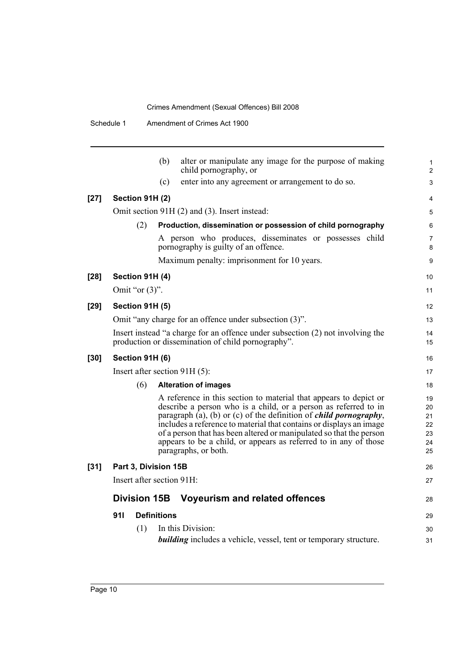|                           | alter or manipulate any image for the purpose of making<br>(b)<br>child pornography, or                                                                                                                                                                                                                                                                                                                                                                     |
|---------------------------|-------------------------------------------------------------------------------------------------------------------------------------------------------------------------------------------------------------------------------------------------------------------------------------------------------------------------------------------------------------------------------------------------------------------------------------------------------------|
|                           | (c)<br>enter into any agreement or arrangement to do so.                                                                                                                                                                                                                                                                                                                                                                                                    |
| Section 91H (2)<br>$[27]$ |                                                                                                                                                                                                                                                                                                                                                                                                                                                             |
|                           | Omit section 91H (2) and (3). Insert instead:                                                                                                                                                                                                                                                                                                                                                                                                               |
| (2)                       | Production, dissemination or possession of child pornography                                                                                                                                                                                                                                                                                                                                                                                                |
|                           | A person who produces, disseminates or possesses child<br>pornography is guilty of an offence.                                                                                                                                                                                                                                                                                                                                                              |
|                           | Maximum penalty: imprisonment for 10 years.                                                                                                                                                                                                                                                                                                                                                                                                                 |
| Section 91H (4)<br>$[28]$ |                                                                                                                                                                                                                                                                                                                                                                                                                                                             |
| Omit "or $(3)$ ".         |                                                                                                                                                                                                                                                                                                                                                                                                                                                             |
| $[29]$<br>Section 91H (5) |                                                                                                                                                                                                                                                                                                                                                                                                                                                             |
|                           | Omit "any charge for an offence under subsection (3)".                                                                                                                                                                                                                                                                                                                                                                                                      |
|                           | Insert instead "a charge for an offence under subsection (2) not involving the<br>production or dissemination of child pornography".                                                                                                                                                                                                                                                                                                                        |
| $[30]$<br>Section 91H (6) |                                                                                                                                                                                                                                                                                                                                                                                                                                                             |
|                           | Insert after section 91H (5):                                                                                                                                                                                                                                                                                                                                                                                                                               |
| (6)                       | <b>Alteration of images</b>                                                                                                                                                                                                                                                                                                                                                                                                                                 |
|                           | A reference in this section to material that appears to depict or<br>describe a person who is a child, or a person as referred to in<br>paragraph (a), (b) or (c) of the definition of <i>child pornography</i> ,<br>includes a reference to material that contains or displays an image<br>of a person that has been altered or manipulated so that the person<br>appears to be a child, or appears as referred to in any of those<br>paragraphs, or both. |
| $[31]$                    | Part 3, Division 15B                                                                                                                                                                                                                                                                                                                                                                                                                                        |
|                           | Insert after section 91H:                                                                                                                                                                                                                                                                                                                                                                                                                                   |
|                           |                                                                                                                                                                                                                                                                                                                                                                                                                                                             |
| <b>Division 15B</b>       | Voyeurism and related offences                                                                                                                                                                                                                                                                                                                                                                                                                              |
| 911                       | <b>Definitions</b>                                                                                                                                                                                                                                                                                                                                                                                                                                          |
| (1)                       | In this Division:                                                                                                                                                                                                                                                                                                                                                                                                                                           |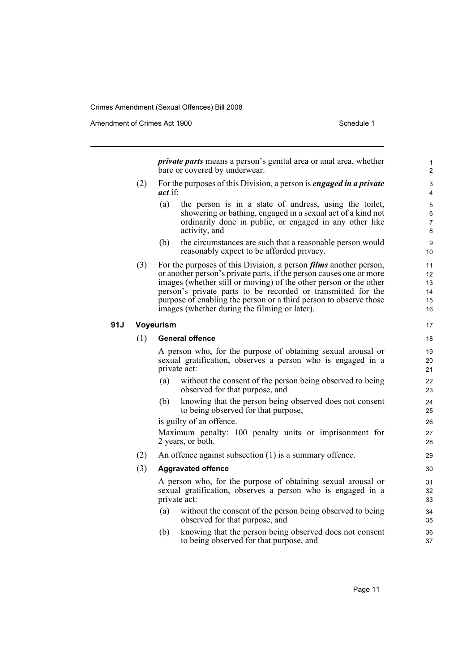Amendment of Crimes Act 1900 New York 1900 New York 1900 New York 1900 Schedule 1

*private parts* means a person's genital area or anal area, whether bare or covered by underwear.

- (2) For the purposes of this Division, a person is *engaged in a private act* if:
	- (a) the person is in a state of undress, using the toilet, showering or bathing, engaged in a sexual act of a kind not ordinarily done in public, or engaged in any other like activity, and
	- (b) the circumstances are such that a reasonable person would reasonably expect to be afforded privacy.
- (3) For the purposes of this Division, a person *films* another person, or another person's private parts, if the person causes one or more images (whether still or moving) of the other person or the other person's private parts to be recorded or transmitted for the purpose of enabling the person or a third person to observe those images (whether during the filming or later).

#### **91J Voyeurism**

#### (1) **General offence**

A person who, for the purpose of obtaining sexual arousal or sexual gratification, observes a person who is engaged in a private act:

- (a) without the consent of the person being observed to being observed for that purpose, and
- (b) knowing that the person being observed does not consent to being observed for that purpose,

is guilty of an offence.

Maximum penalty: 100 penalty units or imprisonment for 2 years, or both.

(2) An offence against subsection (1) is a summary offence.

### (3) **Aggravated offence**

A person who, for the purpose of obtaining sexual arousal or sexual gratification, observes a person who is engaged in a private act:

- (a) without the consent of the person being observed to being observed for that purpose, and
- (b) knowing that the person being observed does not consent to being observed for that purpose, and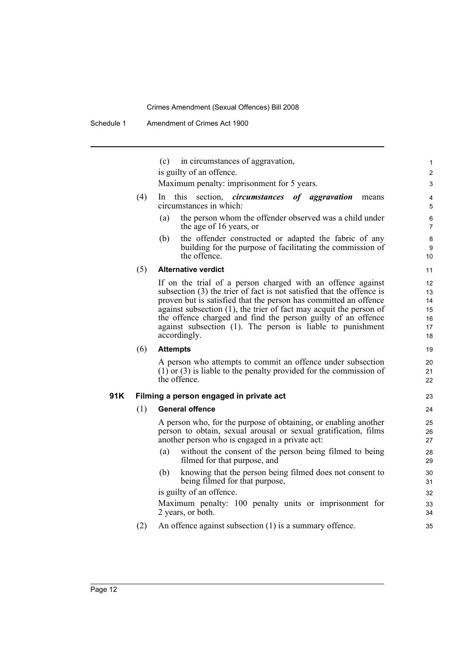|      |     | in circumstances of aggravation,<br>(c)                                                                                                                                                                                                                                                                                                                                                                                         | 1                                      |
|------|-----|---------------------------------------------------------------------------------------------------------------------------------------------------------------------------------------------------------------------------------------------------------------------------------------------------------------------------------------------------------------------------------------------------------------------------------|----------------------------------------|
|      |     | is guilty of an offence.                                                                                                                                                                                                                                                                                                                                                                                                        | $\overline{c}$                         |
|      |     | Maximum penalty: imprisonment for 5 years.                                                                                                                                                                                                                                                                                                                                                                                      | 3                                      |
|      | (4) | this.<br>section, <i>circumstances</i> of aggravation<br>ln<br>means<br>circumstances in which:                                                                                                                                                                                                                                                                                                                                 | 4<br>5                                 |
|      |     | the person whom the offender observed was a child under<br>(a)<br>the age of 16 years, or                                                                                                                                                                                                                                                                                                                                       | 6<br>$\overline{7}$                    |
|      |     | the offender constructed or adapted the fabric of any<br>(b)<br>building for the purpose of facilitating the commission of<br>the offence.                                                                                                                                                                                                                                                                                      | 8<br>9<br>10                           |
|      | (5) | <b>Alternative verdict</b>                                                                                                                                                                                                                                                                                                                                                                                                      | 11                                     |
|      |     | If on the trial of a person charged with an offence against<br>subsection (3) the trier of fact is not satisfied that the offence is<br>proven but is satisfied that the person has committed an offence<br>against subsection $(1)$ , the trier of fact may acquit the person of<br>the offence charged and find the person guilty of an offence<br>against subsection (1). The person is liable to punishment<br>accordingly. | 12<br>13<br>14<br>15<br>16<br>17<br>18 |
|      | (6) | <b>Attempts</b>                                                                                                                                                                                                                                                                                                                                                                                                                 | 19                                     |
|      |     |                                                                                                                                                                                                                                                                                                                                                                                                                                 |                                        |
|      |     | A person who attempts to commit an offence under subsection<br>$(1)$ or (3) is liable to the penalty provided for the commission of<br>the offence.                                                                                                                                                                                                                                                                             | 20<br>21<br>22                         |
|      |     | Filming a person engaged in private act                                                                                                                                                                                                                                                                                                                                                                                         | 23                                     |
| 91 K | (1) | <b>General offence</b>                                                                                                                                                                                                                                                                                                                                                                                                          | 24                                     |
|      |     | A person who, for the purpose of obtaining, or enabling another<br>person to obtain, sexual arousal or sexual gratification, films<br>another person who is engaged in a private act:                                                                                                                                                                                                                                           | 25<br>26<br>27                         |
|      |     | without the consent of the person being filmed to being<br>(a)<br>filmed for that purpose, and                                                                                                                                                                                                                                                                                                                                  | 28<br>29                               |
|      |     | knowing that the person being filmed does not consent to<br>(b)<br>being filmed for that purpose,                                                                                                                                                                                                                                                                                                                               | 30<br>31                               |
|      |     | is guilty of an offence.                                                                                                                                                                                                                                                                                                                                                                                                        | 32                                     |
|      |     | Maximum penalty: 100 penalty units or imprisonment for<br>2 years, or both.                                                                                                                                                                                                                                                                                                                                                     | 33<br>34                               |
|      | (2) | An offence against subsection $(1)$ is a summary offence.                                                                                                                                                                                                                                                                                                                                                                       | 35                                     |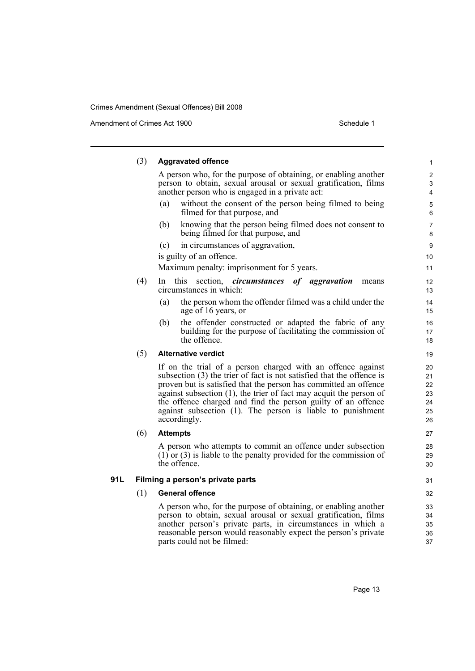Amendment of Crimes Act 1900 Schedule 1

|     | (3) | <b>Aggravated offence</b>                                                                                                                                                                                                                                                                                                                                                                                                       | $\mathbf{1}$                           |
|-----|-----|---------------------------------------------------------------------------------------------------------------------------------------------------------------------------------------------------------------------------------------------------------------------------------------------------------------------------------------------------------------------------------------------------------------------------------|----------------------------------------|
|     |     | A person who, for the purpose of obtaining, or enabling another<br>person to obtain, sexual arousal or sexual gratification, films<br>another person who is engaged in a private act:                                                                                                                                                                                                                                           | $\overline{2}$<br>3<br>4               |
|     |     | without the consent of the person being filmed to being<br>(a)<br>filmed for that purpose, and                                                                                                                                                                                                                                                                                                                                  | $\mathbf 5$<br>6                       |
|     |     | (b)<br>knowing that the person being filmed does not consent to<br>being filmed for that purpose, and                                                                                                                                                                                                                                                                                                                           | $\overline{7}$<br>8                    |
|     |     | in circumstances of aggravation,<br>(c)                                                                                                                                                                                                                                                                                                                                                                                         | 9                                      |
|     |     | is guilty of an offence.                                                                                                                                                                                                                                                                                                                                                                                                        | 10                                     |
|     |     | Maximum penalty: imprisonment for 5 years.                                                                                                                                                                                                                                                                                                                                                                                      | 11                                     |
|     | (4) | this<br>section, <i>circumstances</i> of aggravation<br>In.<br>means<br>circumstances in which:                                                                                                                                                                                                                                                                                                                                 | 12<br>13                               |
|     |     | the person whom the offender filmed was a child under the<br>(a)<br>age of 16 years, or                                                                                                                                                                                                                                                                                                                                         | 14<br>15                               |
|     |     | the offender constructed or adapted the fabric of any<br>(b)<br>building for the purpose of facilitating the commission of<br>the offence.                                                                                                                                                                                                                                                                                      | 16<br>17<br>18                         |
|     | (5) | <b>Alternative verdict</b>                                                                                                                                                                                                                                                                                                                                                                                                      | 19                                     |
|     |     | If on the trial of a person charged with an offence against<br>subsection (3) the trier of fact is not satisfied that the offence is<br>proven but is satisfied that the person has committed an offence<br>against subsection $(1)$ , the trier of fact may acquit the person of<br>the offence charged and find the person guilty of an offence<br>against subsection (1). The person is liable to punishment<br>accordingly. | 20<br>21<br>22<br>23<br>24<br>25<br>26 |
|     | (6) | <b>Attempts</b>                                                                                                                                                                                                                                                                                                                                                                                                                 | 27                                     |
|     |     | A person who attempts to commit an offence under subsection<br>$(1)$ or (3) is liable to the penalty provided for the commission of<br>the offence.                                                                                                                                                                                                                                                                             | 28<br>29<br>30                         |
| 91L |     | Filming a person's private parts                                                                                                                                                                                                                                                                                                                                                                                                | 31                                     |
|     | (1) | <b>General offence</b>                                                                                                                                                                                                                                                                                                                                                                                                          | 32                                     |
|     |     | A person who, for the purpose of obtaining, or enabling another<br>person to obtain, sexual arousal or sexual gratification, films<br>another person's private parts, in circumstances in which a<br>reasonable person would reasonably expect the person's private<br>parts could not be filmed:                                                                                                                               | 33<br>34<br>35<br>36<br>37             |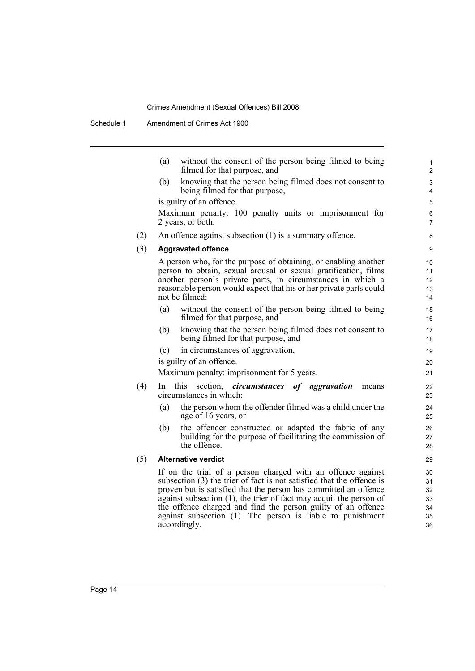|     | (a)<br>without the consent of the person being filmed to being<br>filmed for that purpose, and                                                                                                                                                                                                                                                                                                                                  | 1<br>$\overline{c}$                    |
|-----|---------------------------------------------------------------------------------------------------------------------------------------------------------------------------------------------------------------------------------------------------------------------------------------------------------------------------------------------------------------------------------------------------------------------------------|----------------------------------------|
|     | knowing that the person being filmed does not consent to<br>(b)<br>being filmed for that purpose,                                                                                                                                                                                                                                                                                                                               | 3<br>4                                 |
|     | is guilty of an offence.                                                                                                                                                                                                                                                                                                                                                                                                        | 5                                      |
|     | Maximum penalty: 100 penalty units or imprisonment for                                                                                                                                                                                                                                                                                                                                                                          | 6                                      |
|     | 2 years, or both.                                                                                                                                                                                                                                                                                                                                                                                                               | $\overline{7}$                         |
| (2) | An offence against subsection $(1)$ is a summary offence.                                                                                                                                                                                                                                                                                                                                                                       | 8                                      |
| (3) | <b>Aggravated offence</b>                                                                                                                                                                                                                                                                                                                                                                                                       | 9                                      |
|     | A person who, for the purpose of obtaining, or enabling another<br>person to obtain, sexual arousal or sexual gratification, films<br>another person's private parts, in circumstances in which a<br>reasonable person would expect that his or her private parts could<br>not be filmed:                                                                                                                                       | 10<br>11<br>12<br>13<br>14             |
|     | (a)<br>without the consent of the person being filmed to being<br>filmed for that purpose, and                                                                                                                                                                                                                                                                                                                                  | 15<br>16                               |
|     | knowing that the person being filmed does not consent to<br>(b)<br>being filmed for that purpose, and                                                                                                                                                                                                                                                                                                                           | 17<br>18                               |
|     | in circumstances of aggravation,<br>(c)                                                                                                                                                                                                                                                                                                                                                                                         | 19                                     |
|     | is guilty of an offence.                                                                                                                                                                                                                                                                                                                                                                                                        | 20                                     |
|     | Maximum penalty: imprisonment for 5 years.                                                                                                                                                                                                                                                                                                                                                                                      | 21                                     |
| (4) | this<br>section, <i>circumstances</i> of aggravation<br>In.<br>means<br>circumstances in which:                                                                                                                                                                                                                                                                                                                                 | 22<br>23                               |
|     | the person whom the offender filmed was a child under the<br>(a)<br>age of 16 years, or                                                                                                                                                                                                                                                                                                                                         | 24<br>25                               |
|     | the offender constructed or adapted the fabric of any<br>(b)<br>building for the purpose of facilitating the commission of<br>the offence.                                                                                                                                                                                                                                                                                      | 26<br>27<br>28                         |
| (5) | <b>Alternative verdict</b>                                                                                                                                                                                                                                                                                                                                                                                                      | 29                                     |
|     | If on the trial of a person charged with an offence against<br>subsection (3) the trier of fact is not satisfied that the offence is<br>proven but is satisfied that the person has committed an offence<br>against subsection $(1)$ , the trier of fact may acquit the person of<br>the offence charged and find the person guilty of an offence<br>against subsection (1). The person is liable to punishment<br>accordingly. | 30<br>31<br>32<br>33<br>34<br>35<br>36 |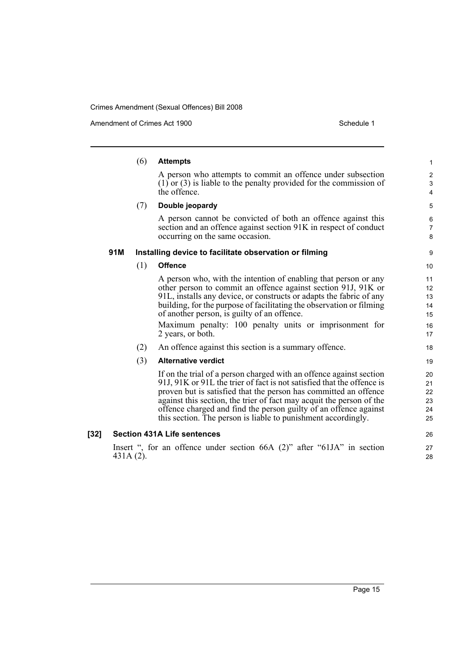Amendment of Crimes Act 1900 Schedule 1

|      |           | (6) | <b>Attempts</b>                                                                                                                                                                                                                                                                                                                                                                                                                | $\mathbf{1}$                     |
|------|-----------|-----|--------------------------------------------------------------------------------------------------------------------------------------------------------------------------------------------------------------------------------------------------------------------------------------------------------------------------------------------------------------------------------------------------------------------------------|----------------------------------|
|      |           |     | A person who attempts to commit an offence under subsection                                                                                                                                                                                                                                                                                                                                                                    | $\overline{2}$                   |
|      |           |     | $(1)$ or (3) is liable to the penalty provided for the commission of<br>the offence.                                                                                                                                                                                                                                                                                                                                           | 3<br>4                           |
|      |           | (7) | Double jeopardy                                                                                                                                                                                                                                                                                                                                                                                                                | 5                                |
|      |           |     | A person cannot be convicted of both an offence against this<br>section and an offence against section 91K in respect of conduct<br>occurring on the same occasion.                                                                                                                                                                                                                                                            | 6<br>$\overline{7}$<br>8         |
|      | 91M       |     | Installing device to facilitate observation or filming                                                                                                                                                                                                                                                                                                                                                                         | 9                                |
|      |           | (1) | <b>Offence</b>                                                                                                                                                                                                                                                                                                                                                                                                                 | 10                               |
|      |           |     | A person who, with the intention of enabling that person or any<br>other person to commit an offence against section 91J, 91K or<br>91L, installs any device, or constructs or adapts the fabric of any<br>building, for the purpose of facilitating the observation or filming<br>of another person, is guilty of an offence.                                                                                                 | 11<br>12<br>13<br>14<br>15       |
|      |           |     | Maximum penalty: 100 penalty units or imprisonment for<br>2 years, or both.                                                                                                                                                                                                                                                                                                                                                    | 16<br>17                         |
|      |           | (2) | An offence against this section is a summary offence.                                                                                                                                                                                                                                                                                                                                                                          | 18                               |
|      |           | (3) | <b>Alternative verdict</b>                                                                                                                                                                                                                                                                                                                                                                                                     | 19                               |
|      |           |     | If on the trial of a person charged with an offence against section<br>91J, 91K or 91L the trier of fact is not satisfied that the offence is<br>proven but is satisfied that the person has committed an offence<br>against this section, the trier of fact may acquit the person of the<br>offence charged and find the person guilty of an offence against<br>this section. The person is liable to punishment accordingly. | 20<br>21<br>22<br>23<br>24<br>25 |
| [32] |           |     | <b>Section 431A Life sentences</b>                                                                                                                                                                                                                                                                                                                                                                                             | 26                               |
|      | 431A (2). |     | Insert ", for an offence under section $66A$ (2)" after " $61JA$ " in section                                                                                                                                                                                                                                                                                                                                                  | 27<br>28                         |
|      |           |     |                                                                                                                                                                                                                                                                                                                                                                                                                                |                                  |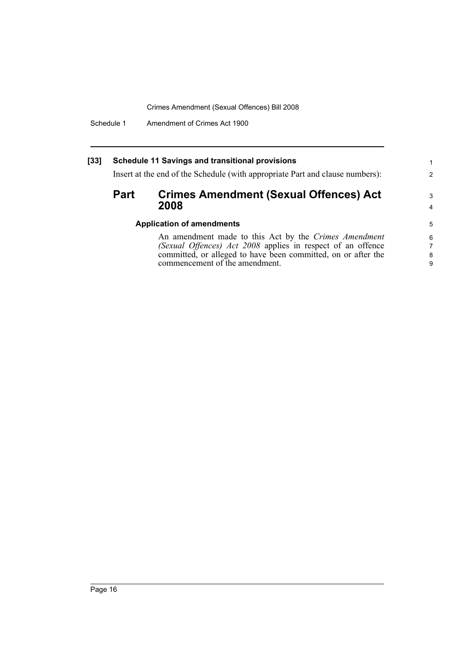Schedule 1 Amendment of Crimes Act 1900

#### **[33] Schedule 11 Savings and transitional provisions**

Insert at the end of the Schedule (with appropriate Part and clause numbers):

### **Part Crimes Amendment (Sexual Offences) Act 2008**

### **Application of amendments**

An amendment made to this Act by the *Crimes Amendment (Sexual Offences) Act 2008* applies in respect of an offence committed, or alleged to have been committed, on or after the commencement of the amendment.

1 2

3 4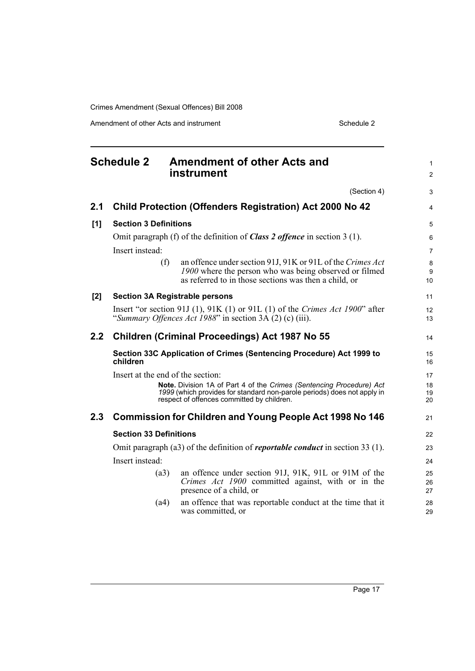Amendment of other Acts and instrument Schedule 2

<span id="page-28-0"></span>

| <b>Schedule 2</b> |                                                                                       | <b>Amendment of other Acts and</b><br>instrument                                                                                                                                              |                |  |  |
|-------------------|---------------------------------------------------------------------------------------|-----------------------------------------------------------------------------------------------------------------------------------------------------------------------------------------------|----------------|--|--|
|                   |                                                                                       | (Section 4)                                                                                                                                                                                   | 3              |  |  |
| 2.1               |                                                                                       | <b>Child Protection (Offenders Registration) Act 2000 No 42</b>                                                                                                                               | 4              |  |  |
| [1]               | <b>Section 3 Definitions</b>                                                          |                                                                                                                                                                                               | 5              |  |  |
|                   |                                                                                       | Omit paragraph (f) of the definition of <b>Class 2 offence</b> in section $3(1)$ .                                                                                                            | 6              |  |  |
|                   | Insert instead:                                                                       |                                                                                                                                                                                               | $\overline{7}$ |  |  |
|                   | (f)                                                                                   | an offence under section 91J, 91K or 91L of the Crimes Act<br>1900 where the person who was being observed or filmed<br>as referred to in those sections was then a child, or                 | 8<br>9<br>10   |  |  |
| [2]               |                                                                                       | <b>Section 3A Registrable persons</b>                                                                                                                                                         | 11             |  |  |
|                   |                                                                                       | Insert "or section 91J (1), 91K (1) or 91L (1) of the Crimes Act 1900" after<br>"Summary Offences Act 1988" in section $3A(2)$ (c) (iii).                                                     | 12<br>13       |  |  |
| 2.2               | <b>Children (Criminal Proceedings) Act 1987 No 55</b>                                 |                                                                                                                                                                                               |                |  |  |
|                   | children                                                                              | Section 33C Application of Crimes (Sentencing Procedure) Act 1999 to                                                                                                                          | 15<br>16       |  |  |
|                   | Insert at the end of the section:                                                     |                                                                                                                                                                                               | 17             |  |  |
|                   |                                                                                       | Note. Division 1A of Part 4 of the Crimes (Sentencing Procedure) Act<br>1999 (which provides for standard non-parole periods) does not apply in<br>respect of offences committed by children. | 18<br>19<br>20 |  |  |
| 2.3               |                                                                                       | <b>Commission for Children and Young People Act 1998 No 146</b>                                                                                                                               | 21             |  |  |
|                   | <b>Section 33 Definitions</b>                                                         |                                                                                                                                                                                               |                |  |  |
|                   | Omit paragraph (a3) of the definition of <i>reportable conduct</i> in section 33 (1). |                                                                                                                                                                                               |                |  |  |
|                   | Insert instead:                                                                       |                                                                                                                                                                                               | 24             |  |  |
|                   | (a3)                                                                                  | an offence under section 91J, 91K, 91L or 91M of the<br>Crimes Act 1900 committed against, with or in the<br>presence of a child, or                                                          | 25<br>26<br>27 |  |  |
|                   | (a4)                                                                                  | an offence that was reportable conduct at the time that it<br>was committed, or                                                                                                               | 28<br>29       |  |  |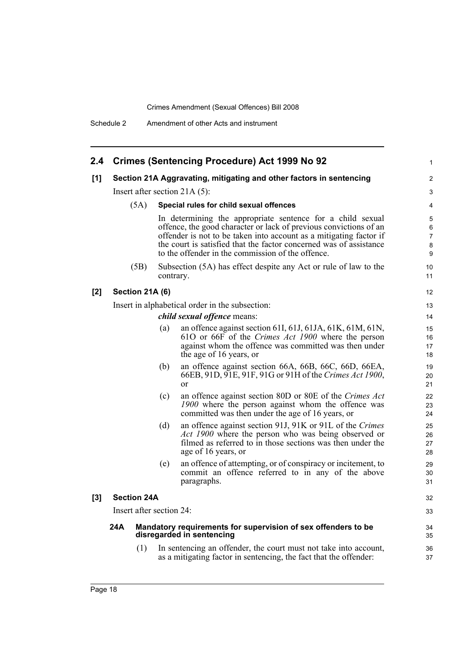| 2.4 <sup>°</sup> | <b>Crimes (Sentencing Procedure) Act 1999 No 92</b>                                               |                 |           |                                                                                                                                                                                                                                                                                                                                  | 1                                  |
|------------------|---------------------------------------------------------------------------------------------------|-----------------|-----------|----------------------------------------------------------------------------------------------------------------------------------------------------------------------------------------------------------------------------------------------------------------------------------------------------------------------------------|------------------------------------|
| [1]              |                                                                                                   |                 |           | Section 21A Aggravating, mitigating and other factors in sentencing                                                                                                                                                                                                                                                              | $\overline{c}$                     |
|                  |                                                                                                   |                 |           | Insert after section 21A $(5)$ :                                                                                                                                                                                                                                                                                                 | 3                                  |
|                  |                                                                                                   | (5A)            |           | Special rules for child sexual offences                                                                                                                                                                                                                                                                                          | 4                                  |
|                  |                                                                                                   |                 |           | In determining the appropriate sentence for a child sexual<br>offence, the good character or lack of previous convictions of an<br>offender is not to be taken into account as a mitigating factor if<br>the court is satisfied that the factor concerned was of assistance<br>to the offender in the commission of the offence. | 5<br>6<br>$\overline{7}$<br>8<br>9 |
|                  |                                                                                                   | (5B)            | contrary. | Subsection (5A) has effect despite any Act or rule of law to the                                                                                                                                                                                                                                                                 | 10<br>11                           |
| [2]              |                                                                                                   | Section 21A (6) |           |                                                                                                                                                                                                                                                                                                                                  | 12                                 |
|                  |                                                                                                   |                 |           | Insert in alphabetical order in the subsection:                                                                                                                                                                                                                                                                                  | 13                                 |
|                  |                                                                                                   |                 |           | <i>child sexual offence means:</i>                                                                                                                                                                                                                                                                                               | 14                                 |
|                  |                                                                                                   |                 | (a)       | an offence against section 61I, 61J, 61JA, 61K, 61M, 61N,<br>610 or 66F of the Crimes Act 1900 where the person<br>against whom the offence was committed was then under<br>the age of 16 years, or                                                                                                                              | 15<br>16<br>17<br>18               |
|                  |                                                                                                   |                 | (b)       | an offence against section 66A, 66B, 66C, 66D, 66EA,<br>66EB, 91D, 91E, 91F, 91G or 91H of the Crimes Act 1900,<br><sub>or</sub>                                                                                                                                                                                                 | 19<br>20<br>21                     |
|                  |                                                                                                   |                 | (c)       | an offence against section 80D or 80E of the Crimes Act<br>1900 where the person against whom the offence was<br>committed was then under the age of 16 years, or                                                                                                                                                                | 22<br>23<br>24                     |
|                  |                                                                                                   |                 | (d)       | an offence against section 91J, 91K or 91L of the Crimes<br><i>Act 1900</i> where the person who was being observed or<br>filmed as referred to in those sections was then under the<br>age of 16 years, or                                                                                                                      | 25<br>26<br>27<br>28               |
|                  |                                                                                                   |                 | (e)       | an offence of attempting, or of conspiracy or incitement, to<br>commit an offence referred to in any of the above<br>paragraphs.                                                                                                                                                                                                 | 29<br>30<br>31                     |
| [3]              | <b>Section 24A</b>                                                                                |                 |           |                                                                                                                                                                                                                                                                                                                                  | 32                                 |
|                  | Insert after section 24:                                                                          |                 |           |                                                                                                                                                                                                                                                                                                                                  | 33                                 |
|                  | 24A<br>Mandatory requirements for supervision of sex offenders to be<br>disregarded in sentencing |                 |           | 34<br>35                                                                                                                                                                                                                                                                                                                         |                                    |
|                  |                                                                                                   | (1)             |           | In sentencing an offender, the court must not take into account,<br>as a mitigating factor in sentencing, the fact that the offender:                                                                                                                                                                                            | 36<br>37                           |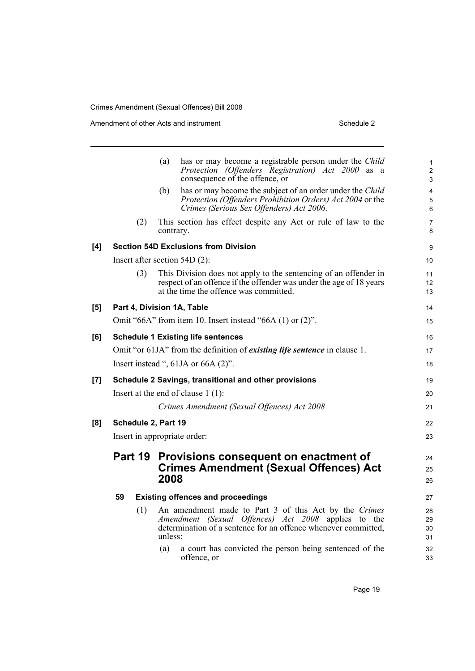Amendment of other Acts and instrument Schedule 2

**[8]** 

|     |                              | (a)                 | has or may become a registrable person under the Child<br>Protection (Offenders Registration) Act 2000 as a<br>consequence of the offence, or                                     | $\mathbf{1}$<br>$\overline{2}$<br>3 |  |  |
|-----|------------------------------|---------------------|-----------------------------------------------------------------------------------------------------------------------------------------------------------------------------------|-------------------------------------|--|--|
|     |                              | (b)                 | has or may become the subject of an order under the Child<br>Protection (Offenders Prohibition Orders) Act 2004 or the<br>Crimes (Serious Sex Offenders) Act 2006.                | $\overline{\mathbf{4}}$<br>5<br>6   |  |  |
|     |                              | (2)                 | This section has effect despite any Act or rule of law to the<br>contrary.                                                                                                        | $\overline{7}$<br>8                 |  |  |
| [4] |                              |                     | <b>Section 54D Exclusions from Division</b>                                                                                                                                       | 9                                   |  |  |
|     |                              |                     | Insert after section $54D(2)$ :                                                                                                                                                   | 10 <sup>°</sup>                     |  |  |
|     |                              | (3)                 | This Division does not apply to the sentencing of an offender in<br>respect of an offence if the offender was under the age of 18 years<br>at the time the offence was committed. | 11<br>12 <sup>2</sup><br>13         |  |  |
| [5] |                              |                     | Part 4, Division 1A, Table                                                                                                                                                        | 14                                  |  |  |
|     |                              |                     | Omit "66A" from item 10. Insert instead "66A $(1)$ or $(2)$ ".                                                                                                                    | 15                                  |  |  |
| [6] |                              |                     | <b>Schedule 1 Existing life sentences</b>                                                                                                                                         | 16                                  |  |  |
|     |                              |                     | Omit "or 61JA" from the definition of <i>existing life sentence</i> in clause 1.                                                                                                  | 17                                  |  |  |
|     |                              |                     | Insert instead ", $61JA$ or $66A$ $(2)$ ".                                                                                                                                        | 18                                  |  |  |
| [7] |                              |                     | Schedule 2 Savings, transitional and other provisions                                                                                                                             | 19                                  |  |  |
|     |                              |                     | Insert at the end of clause $1(1)$ :                                                                                                                                              | 20                                  |  |  |
|     |                              |                     | Crimes Amendment (Sexual Offences) Act 2008                                                                                                                                       | 21                                  |  |  |
| [8] |                              | Schedule 2, Part 19 |                                                                                                                                                                                   | 22                                  |  |  |
|     | Insert in appropriate order: |                     |                                                                                                                                                                                   |                                     |  |  |
|     | Part 19                      |                     | Provisions consequent on enactment of                                                                                                                                             | 24                                  |  |  |
|     |                              |                     | <b>Crimes Amendment (Sexual Offences) Act</b>                                                                                                                                     | 25                                  |  |  |
|     |                              | 2008                |                                                                                                                                                                                   | 26                                  |  |  |
|     | 59                           |                     | <b>Existing offences and proceedings</b>                                                                                                                                          | 27                                  |  |  |
|     |                              | (1)<br>unless:      | An amendment made to Part 3 of this Act by the Crimes<br>Amendment (Sexual Offences) Act 2008 applies to the<br>determination of a sentence for an offence whenever committed,    | 28<br>29<br>30<br>31                |  |  |
|     |                              | (a)                 | a court has convicted the person being sentenced of the<br>offence, or                                                                                                            | 32<br>33                            |  |  |
|     |                              |                     |                                                                                                                                                                                   |                                     |  |  |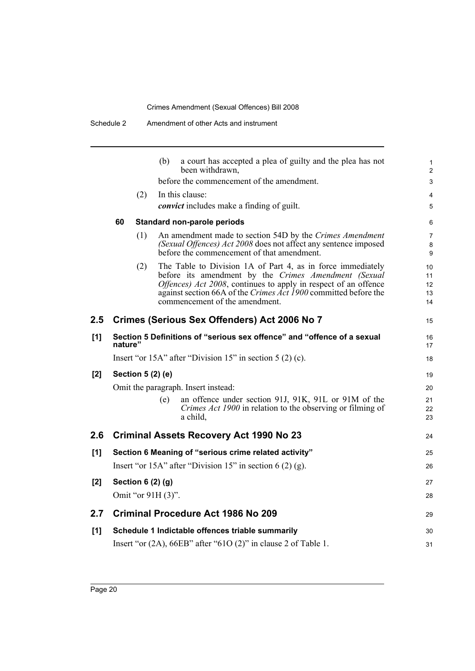|     |         |                   | a court has accepted a plea of guilty and the plea has not<br>(b)<br>been withdrawn,                                                                                                                                                                                                        |
|-----|---------|-------------------|---------------------------------------------------------------------------------------------------------------------------------------------------------------------------------------------------------------------------------------------------------------------------------------------|
|     |         |                   | before the commencement of the amendment.                                                                                                                                                                                                                                                   |
|     |         | (2)               | In this clause:                                                                                                                                                                                                                                                                             |
|     |         |                   | <i>convict</i> includes make a finding of guilt.                                                                                                                                                                                                                                            |
|     | 60      |                   | <b>Standard non-parole periods</b>                                                                                                                                                                                                                                                          |
|     |         | (1)               | An amendment made to section 54D by the Crimes Amendment<br>(Sexual Offences) Act 2008 does not affect any sentence imposed<br>before the commencement of that amendment.                                                                                                                   |
|     |         | (2)               | The Table to Division 1A of Part 4, as in force immediately<br>before its amendment by the Crimes Amendment (Sexual<br>Offences) Act 2008, continues to apply in respect of an offence<br>against section 66A of the Crimes Act 1900 committed before the<br>commencement of the amendment. |
| 2.5 |         |                   | Crimes (Serious Sex Offenders) Act 2006 No 7                                                                                                                                                                                                                                                |
| [1] | nature" |                   | Section 5 Definitions of "serious sex offence" and "offence of a sexual                                                                                                                                                                                                                     |
|     |         |                   | Insert "or $15A$ " after "Division $15$ " in section $5(2)(c)$ .                                                                                                                                                                                                                            |
| [2] |         | Section 5 (2) (e) |                                                                                                                                                                                                                                                                                             |
|     |         |                   | Omit the paragraph. Insert instead:                                                                                                                                                                                                                                                         |
|     |         |                   | an offence under section 91J, 91K, 91L or 91M of the<br>(e)<br>Crimes Act 1900 in relation to the observing or filming of<br>a child,                                                                                                                                                       |
| 2.6 |         |                   | <b>Criminal Assets Recovery Act 1990 No 23</b>                                                                                                                                                                                                                                              |
| [1] |         |                   | Section 6 Meaning of "serious crime related activity"                                                                                                                                                                                                                                       |
|     |         |                   | Insert "or 15A" after "Division 15" in section $6(2)(g)$ .                                                                                                                                                                                                                                  |
| [2] |         | Section 6 (2) (g) |                                                                                                                                                                                                                                                                                             |
|     |         |                   | Omit "or 91H (3)".                                                                                                                                                                                                                                                                          |
| 2.7 |         |                   | <b>Criminal Procedure Act 1986 No 209</b>                                                                                                                                                                                                                                                   |
| [1] |         |                   | Schedule 1 Indictable offences triable summarily                                                                                                                                                                                                                                            |
|     |         |                   | Insert "or $(2A)$ , 66EB" after "61O $(2)$ " in clause 2 of Table 1.                                                                                                                                                                                                                        |
|     |         |                   |                                                                                                                                                                                                                                                                                             |